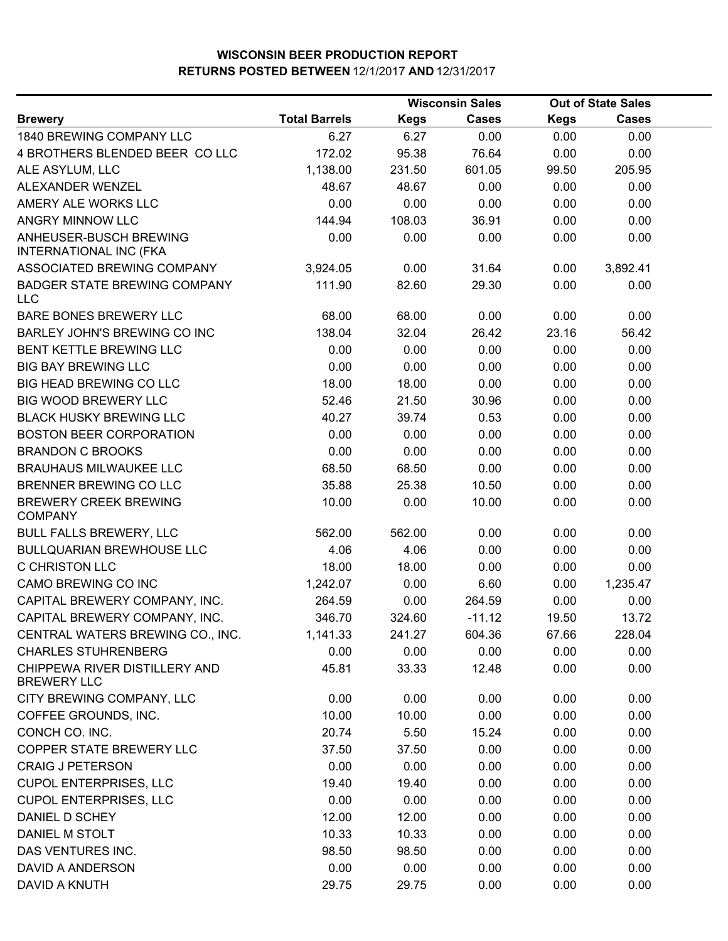|                                                     | <b>Wisconsin Sales</b> |             | <b>Out of State Sales</b> |             |              |  |
|-----------------------------------------------------|------------------------|-------------|---------------------------|-------------|--------------|--|
| <b>Brewery</b>                                      | <b>Total Barrels</b>   | <b>Kegs</b> | <b>Cases</b>              | <b>Kegs</b> | <b>Cases</b> |  |
| 1840 BREWING COMPANY LLC                            | 6.27                   | 6.27        | 0.00                      | 0.00        | 0.00         |  |
| 4 BROTHERS BLENDED BEER COLLC                       | 172.02                 | 95.38       | 76.64                     | 0.00        | 0.00         |  |
| ALE ASYLUM, LLC                                     | 1,138.00               | 231.50      | 601.05                    | 99.50       | 205.95       |  |
| ALEXANDER WENZEL                                    | 48.67                  | 48.67       | 0.00                      | 0.00        | 0.00         |  |
| AMERY ALE WORKS LLC                                 | 0.00                   | 0.00        | 0.00                      | 0.00        | 0.00         |  |
| ANGRY MINNOW LLC                                    | 144.94                 | 108.03      | 36.91                     | 0.00        | 0.00         |  |
| ANHEUSER-BUSCH BREWING<br>INTERNATIONAL INC (FKA    | 0.00                   | 0.00        | 0.00                      | 0.00        | 0.00         |  |
| ASSOCIATED BREWING COMPANY                          | 3,924.05               | 0.00        | 31.64                     | 0.00        | 3,892.41     |  |
| <b>BADGER STATE BREWING COMPANY</b><br><b>LLC</b>   | 111.90                 | 82.60       | 29.30                     | 0.00        | 0.00         |  |
| BARE BONES BREWERY LLC                              | 68.00                  | 68.00       | 0.00                      | 0.00        | 0.00         |  |
| BARLEY JOHN'S BREWING CO INC                        | 138.04                 | 32.04       | 26.42                     | 23.16       | 56.42        |  |
| BENT KETTLE BREWING LLC                             | 0.00                   | 0.00        | 0.00                      | 0.00        | 0.00         |  |
| <b>BIG BAY BREWING LLC</b>                          | 0.00                   | 0.00        | 0.00                      | 0.00        | 0.00         |  |
| BIG HEAD BREWING CO LLC                             | 18.00                  | 18.00       | 0.00                      | 0.00        | 0.00         |  |
| BIG WOOD BREWERY LLC                                | 52.46                  | 21.50       | 30.96                     | 0.00        | 0.00         |  |
| <b>BLACK HUSKY BREWING LLC</b>                      | 40.27                  | 39.74       | 0.53                      | 0.00        | 0.00         |  |
| <b>BOSTON BEER CORPORATION</b>                      | 0.00                   | 0.00        | 0.00                      | 0.00        | 0.00         |  |
| <b>BRANDON C BROOKS</b>                             | 0.00                   | 0.00        | 0.00                      | 0.00        | 0.00         |  |
| <b>BRAUHAUS MILWAUKEE LLC</b>                       | 68.50                  | 68.50       | 0.00                      | 0.00        | 0.00         |  |
| BRENNER BREWING CO LLC                              | 35.88                  | 25.38       | 10.50                     | 0.00        | 0.00         |  |
| <b>BREWERY CREEK BREWING</b><br><b>COMPANY</b>      | 10.00                  | 0.00        | 10.00                     | 0.00        | 0.00         |  |
| <b>BULL FALLS BREWERY, LLC</b>                      | 562.00                 | 562.00      | 0.00                      | 0.00        | 0.00         |  |
| <b>BULLQUARIAN BREWHOUSE LLC</b>                    | 4.06                   | 4.06        | 0.00                      | 0.00        | 0.00         |  |
| <b>C CHRISTON LLC</b>                               | 18.00                  | 18.00       | 0.00                      | 0.00        | 0.00         |  |
| CAMO BREWING CO INC                                 | 1,242.07               | 0.00        | 6.60                      | 0.00        | 1,235.47     |  |
| CAPITAL BREWERY COMPANY, INC.                       | 264.59                 | 0.00        | 264.59                    | 0.00        | 0.00         |  |
| CAPITAL BREWERY COMPANY, INC.                       | 346.70                 | 324.60      | $-11.12$                  | 19.50       | 13.72        |  |
| CENTRAL WATERS BREWING CO., INC.                    | 1,141.33               | 241.27      | 604.36                    | 67.66       | 228.04       |  |
| <b>CHARLES STUHRENBERG</b>                          | 0.00                   | 0.00        | 0.00                      | 0.00        | 0.00         |  |
| CHIPPEWA RIVER DISTILLERY AND<br><b>BREWERY LLC</b> | 45.81                  | 33.33       | 12.48                     | 0.00        | 0.00         |  |
| CITY BREWING COMPANY, LLC                           | 0.00                   | 0.00        | 0.00                      | 0.00        | 0.00         |  |
| COFFEE GROUNDS, INC.                                | 10.00                  | 10.00       | 0.00                      | 0.00        | 0.00         |  |
| CONCH CO. INC.                                      | 20.74                  | 5.50        | 15.24                     | 0.00        | 0.00         |  |
| COPPER STATE BREWERY LLC                            | 37.50                  | 37.50       | 0.00                      | 0.00        | 0.00         |  |
| <b>CRAIG J PETERSON</b>                             | 0.00                   | 0.00        | 0.00                      | 0.00        | 0.00         |  |
| <b>CUPOL ENTERPRISES, LLC</b>                       | 19.40                  | 19.40       | 0.00                      | 0.00        | 0.00         |  |
| <b>CUPOL ENTERPRISES, LLC</b>                       | 0.00                   | 0.00        | 0.00                      | 0.00        | 0.00         |  |
| DANIEL D SCHEY                                      | 12.00                  | 12.00       | 0.00                      | 0.00        | 0.00         |  |
| DANIEL M STOLT                                      | 10.33                  | 10.33       | 0.00                      | 0.00        | 0.00         |  |
| DAS VENTURES INC.                                   | 98.50                  | 98.50       | 0.00                      | 0.00        | 0.00         |  |
| <b>DAVID A ANDERSON</b>                             | 0.00                   | 0.00        | 0.00                      | 0.00        | 0.00         |  |
| DAVID A KNUTH                                       | 29.75                  | 29.75       | 0.00                      | 0.00        | 0.00         |  |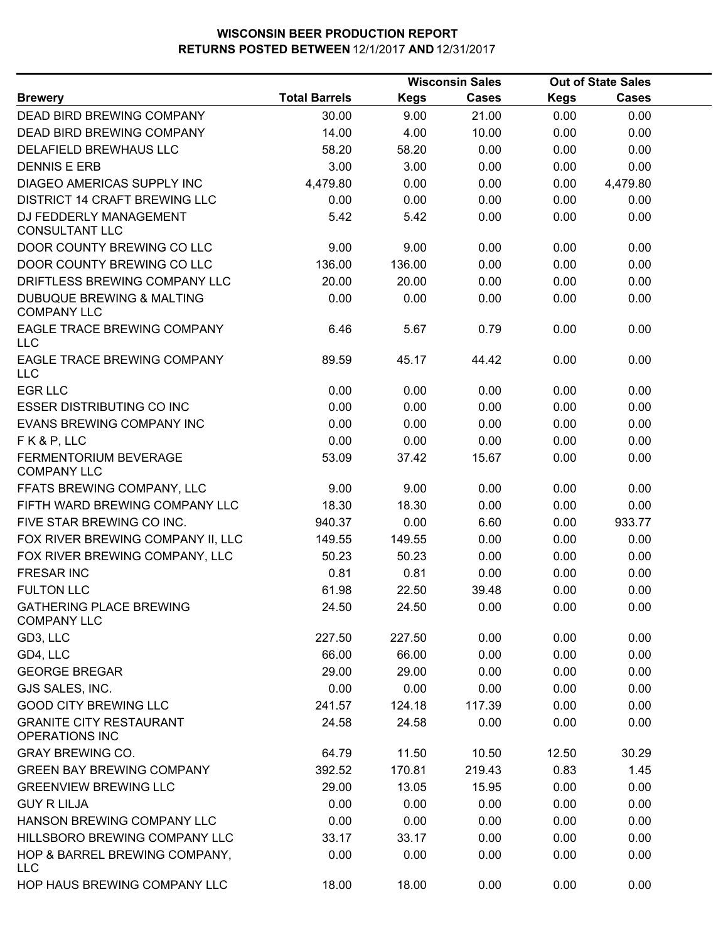|                                                         |                      |             | <b>Wisconsin Sales</b> |             | <b>Out of State Sales</b> |  |
|---------------------------------------------------------|----------------------|-------------|------------------------|-------------|---------------------------|--|
| <b>Brewery</b>                                          | <b>Total Barrels</b> | <b>Kegs</b> | Cases                  | <b>Kegs</b> | <b>Cases</b>              |  |
| <b>DEAD BIRD BREWING COMPANY</b>                        | 30.00                | 9.00        | 21.00                  | 0.00        | 0.00                      |  |
| DEAD BIRD BREWING COMPANY                               | 14.00                | 4.00        | 10.00                  | 0.00        | 0.00                      |  |
| DELAFIELD BREWHAUS LLC                                  | 58.20                | 58.20       | 0.00                   | 0.00        | 0.00                      |  |
| <b>DENNIS E ERB</b>                                     | 3.00                 | 3.00        | 0.00                   | 0.00        | 0.00                      |  |
| DIAGEO AMERICAS SUPPLY INC                              | 4,479.80             | 0.00        | 0.00                   | 0.00        | 4,479.80                  |  |
| <b>DISTRICT 14 CRAFT BREWING LLC</b>                    | 0.00                 | 0.00        | 0.00                   | 0.00        | 0.00                      |  |
| DJ FEDDERLY MANAGEMENT<br><b>CONSULTANT LLC</b>         | 5.42                 | 5.42        | 0.00                   | 0.00        | 0.00                      |  |
| DOOR COUNTY BREWING CO LLC                              | 9.00                 | 9.00        | 0.00                   | 0.00        | 0.00                      |  |
| DOOR COUNTY BREWING CO LLC                              | 136.00               | 136.00      | 0.00                   | 0.00        | 0.00                      |  |
| DRIFTLESS BREWING COMPANY LLC                           | 20.00                | 20.00       | 0.00                   | 0.00        | 0.00                      |  |
| DUBUQUE BREWING & MALTING<br><b>COMPANY LLC</b>         | 0.00                 | 0.00        | 0.00                   | 0.00        | 0.00                      |  |
| EAGLE TRACE BREWING COMPANY<br>LLC                      | 6.46                 | 5.67        | 0.79                   | 0.00        | 0.00                      |  |
| EAGLE TRACE BREWING COMPANY<br><b>LLC</b>               | 89.59                | 45.17       | 44.42                  | 0.00        | 0.00                      |  |
| <b>EGR LLC</b>                                          | 0.00                 | 0.00        | 0.00                   | 0.00        | 0.00                      |  |
| <b>ESSER DISTRIBUTING CO INC</b>                        | 0.00                 | 0.00        | 0.00                   | 0.00        | 0.00                      |  |
| EVANS BREWING COMPANY INC                               | 0.00                 | 0.00        | 0.00                   | 0.00        | 0.00                      |  |
| FK&P, LLC                                               | 0.00                 | 0.00        | 0.00                   | 0.00        | 0.00                      |  |
| <b>FERMENTORIUM BEVERAGE</b><br><b>COMPANY LLC</b>      | 53.09                | 37.42       | 15.67                  | 0.00        | 0.00                      |  |
| FFATS BREWING COMPANY, LLC                              | 9.00                 | 9.00        | 0.00                   | 0.00        | 0.00                      |  |
| FIFTH WARD BREWING COMPANY LLC                          | 18.30                | 18.30       | 0.00                   | 0.00        | 0.00                      |  |
| FIVE STAR BREWING CO INC.                               | 940.37               | 0.00        | 6.60                   | 0.00        | 933.77                    |  |
| FOX RIVER BREWING COMPANY II, LLC                       | 149.55               | 149.55      | 0.00                   | 0.00        | 0.00                      |  |
| FOX RIVER BREWING COMPANY, LLC                          | 50.23                | 50.23       | 0.00                   | 0.00        | 0.00                      |  |
| <b>FRESAR INC</b>                                       | 0.81                 | 0.81        | 0.00                   | 0.00        | 0.00                      |  |
| <b>FULTON LLC</b>                                       | 61.98                | 22.50       | 39.48                  | 0.00        | 0.00                      |  |
| <b>GATHERING PLACE BREWING</b><br><b>COMPANY LLC</b>    | 24.50                | 24.50       | 0.00                   | 0.00        | 0.00                      |  |
| GD3, LLC                                                | 227.50               | 227.50      | 0.00                   | 0.00        | 0.00                      |  |
| GD4, LLC                                                | 66.00                | 66.00       | 0.00                   | 0.00        | 0.00                      |  |
| <b>GEORGE BREGAR</b>                                    | 29.00                | 29.00       | 0.00                   | 0.00        | 0.00                      |  |
| GJS SALES, INC.                                         | 0.00                 | 0.00        | 0.00                   | 0.00        | 0.00                      |  |
| <b>GOOD CITY BREWING LLC</b>                            | 241.57               | 124.18      | 117.39                 | 0.00        | 0.00                      |  |
| <b>GRANITE CITY RESTAURANT</b><br><b>OPERATIONS INC</b> | 24.58                | 24.58       | 0.00                   | 0.00        | 0.00                      |  |
| <b>GRAY BREWING CO.</b>                                 | 64.79                | 11.50       | 10.50                  | 12.50       | 30.29                     |  |
| <b>GREEN BAY BREWING COMPANY</b>                        | 392.52               | 170.81      | 219.43                 | 0.83        | 1.45                      |  |
| <b>GREENVIEW BREWING LLC</b>                            | 29.00                | 13.05       | 15.95                  | 0.00        | 0.00                      |  |
| <b>GUY R LILJA</b>                                      | 0.00                 | 0.00        | 0.00                   | 0.00        | 0.00                      |  |
| HANSON BREWING COMPANY LLC                              | 0.00                 | 0.00        | 0.00                   | 0.00        | 0.00                      |  |
| HILLSBORO BREWING COMPANY LLC                           | 33.17                | 33.17       | 0.00                   | 0.00        | 0.00                      |  |
| HOP & BARREL BREWING COMPANY,<br><b>LLC</b>             | 0.00                 | 0.00        | 0.00                   | 0.00        | 0.00                      |  |
| HOP HAUS BREWING COMPANY LLC                            | 18.00                | 18.00       | 0.00                   | 0.00        | 0.00                      |  |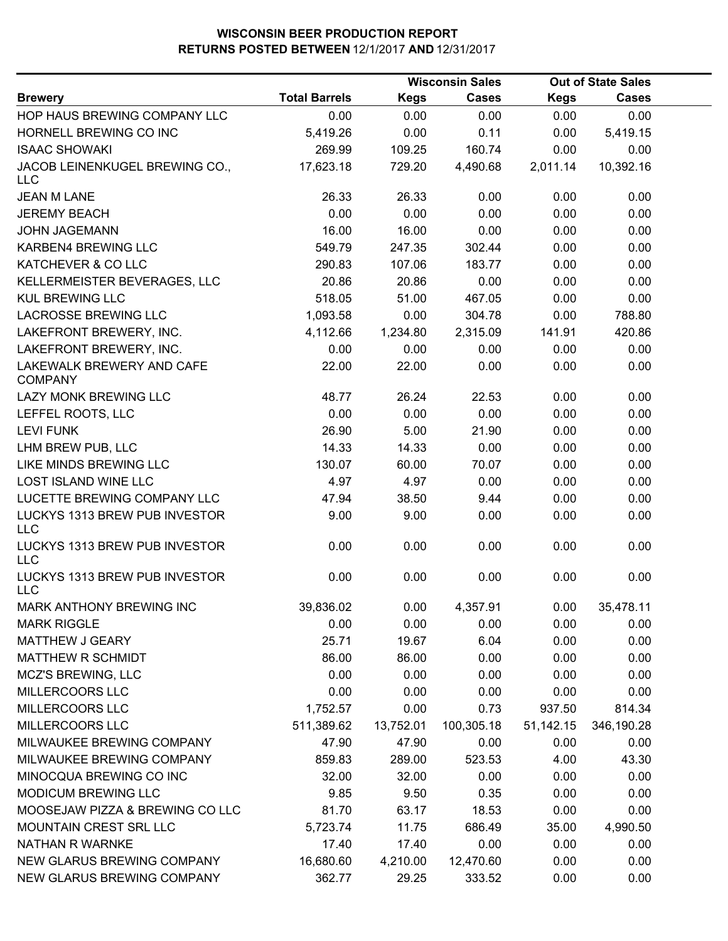|                                             |                      |             | <b>Wisconsin Sales</b> |             | <b>Out of State Sales</b> |  |
|---------------------------------------------|----------------------|-------------|------------------------|-------------|---------------------------|--|
| <b>Brewery</b>                              | <b>Total Barrels</b> | <b>Kegs</b> | <b>Cases</b>           | <b>Kegs</b> | <b>Cases</b>              |  |
| HOP HAUS BREWING COMPANY LLC                | 0.00                 | 0.00        | 0.00                   | 0.00        | 0.00                      |  |
| HORNELL BREWING CO INC                      | 5,419.26             | 0.00        | 0.11                   | 0.00        | 5,419.15                  |  |
| <b>ISAAC SHOWAKI</b>                        | 269.99               | 109.25      | 160.74                 | 0.00        | 0.00                      |  |
| JACOB LEINENKUGEL BREWING CO.,              | 17,623.18            | 729.20      | 4,490.68               | 2,011.14    | 10,392.16                 |  |
| <b>LLC</b>                                  |                      |             |                        |             |                           |  |
| <b>JEAN M LANE</b>                          | 26.33                | 26.33       | 0.00                   | 0.00        | 0.00                      |  |
| <b>JEREMY BEACH</b>                         | 0.00                 | 0.00        | 0.00                   | 0.00        | 0.00                      |  |
| <b>JOHN JAGEMANN</b>                        | 16.00                | 16.00       | 0.00                   | 0.00        | 0.00                      |  |
| <b>KARBEN4 BREWING LLC</b>                  | 549.79               | 247.35      | 302.44                 | 0.00        | 0.00                      |  |
| KATCHEVER & CO LLC                          | 290.83               | 107.06      | 183.77                 | 0.00        | 0.00                      |  |
| KELLERMEISTER BEVERAGES, LLC                | 20.86                | 20.86       | 0.00                   | 0.00        | 0.00                      |  |
| <b>KUL BREWING LLC</b>                      | 518.05               | 51.00       | 467.05                 | 0.00        | 0.00                      |  |
| <b>LACROSSE BREWING LLC</b>                 | 1,093.58             | 0.00        | 304.78                 | 0.00        | 788.80                    |  |
| LAKEFRONT BREWERY, INC.                     | 4,112.66             | 1,234.80    | 2,315.09               | 141.91      | 420.86                    |  |
| LAKEFRONT BREWERY, INC.                     | 0.00                 | 0.00        | 0.00                   | 0.00        | 0.00                      |  |
| LAKEWALK BREWERY AND CAFE<br><b>COMPANY</b> | 22.00                | 22.00       | 0.00                   | 0.00        | 0.00                      |  |
| LAZY MONK BREWING LLC                       | 48.77                | 26.24       | 22.53                  | 0.00        | 0.00                      |  |
| LEFFEL ROOTS, LLC                           | 0.00                 | 0.00        | 0.00                   | 0.00        | 0.00                      |  |
| <b>LEVI FUNK</b>                            | 26.90                | 5.00        | 21.90                  | 0.00        | 0.00                      |  |
| LHM BREW PUB, LLC                           | 14.33                | 14.33       | 0.00                   | 0.00        | 0.00                      |  |
| LIKE MINDS BREWING LLC                      | 130.07               | 60.00       | 70.07                  | 0.00        | 0.00                      |  |
| <b>LOST ISLAND WINE LLC</b>                 | 4.97                 | 4.97        | 0.00                   | 0.00        | 0.00                      |  |
| LUCETTE BREWING COMPANY LLC                 | 47.94                | 38.50       | 9.44                   | 0.00        | 0.00                      |  |
| LUCKYS 1313 BREW PUB INVESTOR<br><b>LLC</b> | 9.00                 | 9.00        | 0.00                   | 0.00        | 0.00                      |  |
| LUCKYS 1313 BREW PUB INVESTOR<br><b>LLC</b> | 0.00                 | 0.00        | 0.00                   | 0.00        | 0.00                      |  |
| LUCKYS 1313 BREW PUB INVESTOR<br><b>LLC</b> | 0.00                 | 0.00        | 0.00                   | 0.00        | 0.00                      |  |
| MARK ANTHONY BREWING INC                    | 39,836.02            | 0.00        | 4,357.91               | 0.00        | 35,478.11                 |  |
| <b>MARK RIGGLE</b>                          | 0.00                 | 0.00        | 0.00                   | 0.00        | 0.00                      |  |
| MATTHEW J GEARY                             | 25.71                | 19.67       | 6.04                   | 0.00        | 0.00                      |  |
| <b>MATTHEW R SCHMIDT</b>                    | 86.00                | 86.00       | 0.00                   | 0.00        | 0.00                      |  |
| <b>MCZ'S BREWING, LLC</b>                   | 0.00                 | 0.00        | 0.00                   | 0.00        | 0.00                      |  |
| MILLERCOORS LLC                             | 0.00                 | 0.00        | 0.00                   | 0.00        | 0.00                      |  |
| MILLERCOORS LLC                             | 1,752.57             | 0.00        | 0.73                   | 937.50      | 814.34                    |  |
| MILLERCOORS LLC                             | 511,389.62           | 13,752.01   | 100,305.18             | 51,142.15   | 346,190.28                |  |
| MILWAUKEE BREWING COMPANY                   | 47.90                | 47.90       | 0.00                   | 0.00        | 0.00                      |  |
| MILWAUKEE BREWING COMPANY                   | 859.83               | 289.00      | 523.53                 | 4.00        | 43.30                     |  |
| MINOCQUA BREWING CO INC                     | 32.00                | 32.00       | 0.00                   | 0.00        | 0.00                      |  |
| MODICUM BREWING LLC                         | 9.85                 | 9.50        | 0.35                   | 0.00        | 0.00                      |  |
| MOOSEJAW PIZZA & BREWING CO LLC             | 81.70                | 63.17       | 18.53                  | 0.00        | 0.00                      |  |
| MOUNTAIN CREST SRL LLC                      | 5,723.74             | 11.75       | 686.49                 | 35.00       | 4,990.50                  |  |
| <b>NATHAN R WARNKE</b>                      | 17.40                | 17.40       | 0.00                   | 0.00        | 0.00                      |  |
| NEW GLARUS BREWING COMPANY                  | 16,680.60            | 4,210.00    | 12,470.60              | 0.00        | 0.00                      |  |
| NEW GLARUS BREWING COMPANY                  | 362.77               | 29.25       | 333.52                 | 0.00        | 0.00                      |  |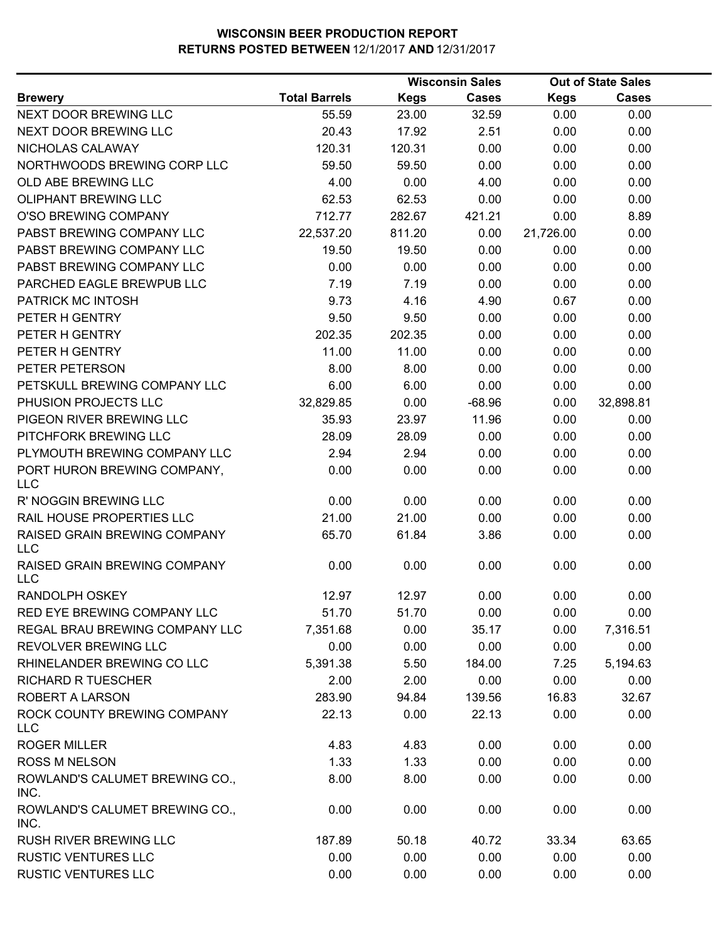|                                            |                      |             | <b>Wisconsin Sales</b> |             | <b>Out of State Sales</b> |  |
|--------------------------------------------|----------------------|-------------|------------------------|-------------|---------------------------|--|
| <b>Brewery</b>                             | <b>Total Barrels</b> | <b>Kegs</b> | <b>Cases</b>           | <b>Kegs</b> | <b>Cases</b>              |  |
| NEXT DOOR BREWING LLC                      | 55.59                | 23.00       | 32.59                  | 0.00        | 0.00                      |  |
| NEXT DOOR BREWING LLC                      | 20.43                | 17.92       | 2.51                   | 0.00        | 0.00                      |  |
| NICHOLAS CALAWAY                           | 120.31               | 120.31      | 0.00                   | 0.00        | 0.00                      |  |
| NORTHWOODS BREWING CORP LLC                | 59.50                | 59.50       | 0.00                   | 0.00        | 0.00                      |  |
| OLD ABE BREWING LLC                        | 4.00                 | 0.00        | 4.00                   | 0.00        | 0.00                      |  |
| <b>OLIPHANT BREWING LLC</b>                | 62.53                | 62.53       | 0.00                   | 0.00        | 0.00                      |  |
| O'SO BREWING COMPANY                       | 712.77               | 282.67      | 421.21                 | 0.00        | 8.89                      |  |
| PABST BREWING COMPANY LLC                  | 22,537.20            | 811.20      | 0.00                   | 21,726.00   | 0.00                      |  |
| PABST BREWING COMPANY LLC                  | 19.50                | 19.50       | 0.00                   | 0.00        | 0.00                      |  |
| PABST BREWING COMPANY LLC                  | 0.00                 | 0.00        | 0.00                   | 0.00        | 0.00                      |  |
| PARCHED EAGLE BREWPUB LLC                  | 7.19                 | 7.19        | 0.00                   | 0.00        | 0.00                      |  |
| PATRICK MC INTOSH                          | 9.73                 | 4.16        | 4.90                   | 0.67        | 0.00                      |  |
| PETER H GENTRY                             | 9.50                 | 9.50        | 0.00                   | 0.00        | 0.00                      |  |
| PETER H GENTRY                             | 202.35               | 202.35      | 0.00                   | 0.00        | 0.00                      |  |
| PETER H GENTRY                             | 11.00                | 11.00       | 0.00                   | 0.00        | 0.00                      |  |
| PETER PETERSON                             | 8.00                 | 8.00        | 0.00                   | 0.00        | 0.00                      |  |
| PETSKULL BREWING COMPANY LLC               | 6.00                 | 6.00        | 0.00                   | 0.00        | 0.00                      |  |
| PHUSION PROJECTS LLC                       | 32,829.85            | 0.00        | $-68.96$               | 0.00        | 32,898.81                 |  |
| PIGEON RIVER BREWING LLC                   | 35.93                | 23.97       | 11.96                  | 0.00        | 0.00                      |  |
| PITCHFORK BREWING LLC                      | 28.09                | 28.09       | 0.00                   | 0.00        | 0.00                      |  |
| PLYMOUTH BREWING COMPANY LLC               | 2.94                 | 2.94        | 0.00                   | 0.00        | 0.00                      |  |
| PORT HURON BREWING COMPANY,<br><b>LLC</b>  | 0.00                 | 0.00        | 0.00                   | 0.00        | 0.00                      |  |
| R' NOGGIN BREWING LLC                      | 0.00                 | 0.00        | 0.00                   | 0.00        | 0.00                      |  |
| RAIL HOUSE PROPERTIES LLC                  | 21.00                | 21.00       | 0.00                   | 0.00        | 0.00                      |  |
| RAISED GRAIN BREWING COMPANY<br><b>LLC</b> | 65.70                | 61.84       | 3.86                   | 0.00        | 0.00                      |  |
| RAISED GRAIN BREWING COMPANY<br><b>LLC</b> | 0.00                 | 0.00        | 0.00                   | 0.00        | 0.00                      |  |
| RANDOLPH OSKEY                             | 12.97                | 12.97       | 0.00                   | 0.00        | 0.00                      |  |
| RED EYE BREWING COMPANY LLC                | 51.70                | 51.70       | 0.00                   | 0.00        | 0.00                      |  |
| REGAL BRAU BREWING COMPANY LLC             | 7,351.68             | 0.00        | 35.17                  | 0.00        | 7,316.51                  |  |
| <b>REVOLVER BREWING LLC</b>                | 0.00                 | 0.00        | 0.00                   | 0.00        | 0.00                      |  |
| RHINELANDER BREWING CO LLC                 | 5,391.38             | 5.50        | 184.00                 | 7.25        | 5,194.63                  |  |
| <b>RICHARD R TUESCHER</b>                  | 2.00                 | 2.00        | 0.00                   | 0.00        | 0.00                      |  |
| ROBERT A LARSON                            | 283.90               | 94.84       | 139.56                 | 16.83       | 32.67                     |  |
| ROCK COUNTY BREWING COMPANY<br><b>LLC</b>  | 22.13                | 0.00        | 22.13                  | 0.00        | 0.00                      |  |
| <b>ROGER MILLER</b>                        | 4.83                 | 4.83        | 0.00                   | 0.00        | 0.00                      |  |
| <b>ROSS M NELSON</b>                       | 1.33                 | 1.33        | 0.00                   | 0.00        | 0.00                      |  |
| ROWLAND'S CALUMET BREWING CO.,<br>INC.     | 8.00                 | 8.00        | 0.00                   | 0.00        | 0.00                      |  |
| ROWLAND'S CALUMET BREWING CO.,<br>INC.     | 0.00                 | 0.00        | 0.00                   | 0.00        | 0.00                      |  |
| RUSH RIVER BREWING LLC                     | 187.89               | 50.18       | 40.72                  | 33.34       | 63.65                     |  |
| <b>RUSTIC VENTURES LLC</b>                 | 0.00                 | 0.00        | 0.00                   | 0.00        | 0.00                      |  |
| <b>RUSTIC VENTURES LLC</b>                 | 0.00                 | 0.00        | 0.00                   | 0.00        | 0.00                      |  |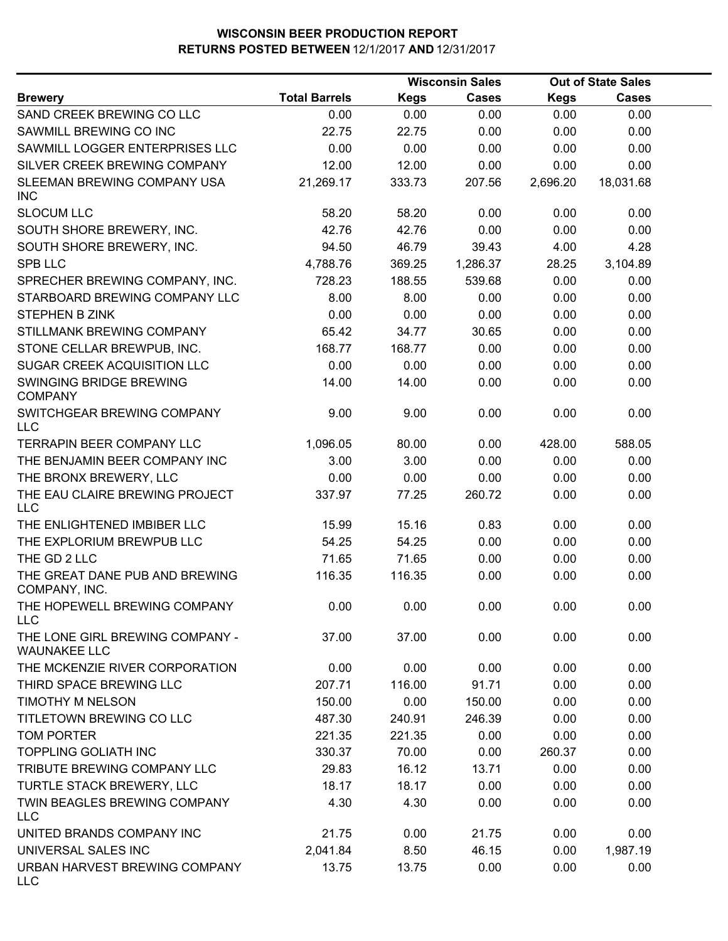|                                                        |                      |             | <b>Wisconsin Sales</b> |             | <b>Out of State Sales</b> |  |
|--------------------------------------------------------|----------------------|-------------|------------------------|-------------|---------------------------|--|
| <b>Brewery</b>                                         | <b>Total Barrels</b> | <b>Kegs</b> | <b>Cases</b>           | <b>Kegs</b> | <b>Cases</b>              |  |
| SAND CREEK BREWING CO LLC                              | 0.00                 | 0.00        | 0.00                   | 0.00        | 0.00                      |  |
| SAWMILL BREWING CO INC                                 | 22.75                | 22.75       | 0.00                   | 0.00        | 0.00                      |  |
| SAWMILL LOGGER ENTERPRISES LLC                         | 0.00                 | 0.00        | 0.00                   | 0.00        | 0.00                      |  |
| SILVER CREEK BREWING COMPANY                           | 12.00                | 12.00       | 0.00                   | 0.00        | 0.00                      |  |
| SLEEMAN BREWING COMPANY USA<br><b>INC</b>              | 21,269.17            | 333.73      | 207.56                 | 2,696.20    | 18,031.68                 |  |
| <b>SLOCUM LLC</b>                                      | 58.20                | 58.20       | 0.00                   | 0.00        | 0.00                      |  |
| SOUTH SHORE BREWERY, INC.                              | 42.76                | 42.76       | 0.00                   | 0.00        | 0.00                      |  |
| SOUTH SHORE BREWERY, INC.                              | 94.50                | 46.79       | 39.43                  | 4.00        | 4.28                      |  |
| <b>SPB LLC</b>                                         | 4,788.76             | 369.25      | 1,286.37               | 28.25       | 3,104.89                  |  |
| SPRECHER BREWING COMPANY, INC.                         | 728.23               | 188.55      | 539.68                 | 0.00        | 0.00                      |  |
| STARBOARD BREWING COMPANY LLC                          | 8.00                 | 8.00        | 0.00                   | 0.00        | 0.00                      |  |
| <b>STEPHEN B ZINK</b>                                  | 0.00                 | 0.00        | 0.00                   | 0.00        | 0.00                      |  |
| STILLMANK BREWING COMPANY                              | 65.42                | 34.77       | 30.65                  | 0.00        | 0.00                      |  |
| STONE CELLAR BREWPUB, INC.                             | 168.77               | 168.77      | 0.00                   | 0.00        | 0.00                      |  |
| <b>SUGAR CREEK ACQUISITION LLC</b>                     | 0.00                 | 0.00        | 0.00                   | 0.00        | 0.00                      |  |
| SWINGING BRIDGE BREWING<br><b>COMPANY</b>              | 14.00                | 14.00       | 0.00                   | 0.00        | 0.00                      |  |
| SWITCHGEAR BREWING COMPANY<br>LLC                      | 9.00                 | 9.00        | 0.00                   | 0.00        | 0.00                      |  |
| TERRAPIN BEER COMPANY LLC                              | 1,096.05             | 80.00       | 0.00                   | 428.00      | 588.05                    |  |
| THE BENJAMIN BEER COMPANY INC                          | 3.00                 | 3.00        | 0.00                   | 0.00        | 0.00                      |  |
| THE BRONX BREWERY, LLC                                 | 0.00                 | 0.00        | 0.00                   | 0.00        | 0.00                      |  |
| THE EAU CLAIRE BREWING PROJECT<br><b>LLC</b>           | 337.97               | 77.25       | 260.72                 | 0.00        | 0.00                      |  |
| THE ENLIGHTENED IMBIBER LLC                            | 15.99                | 15.16       | 0.83                   | 0.00        | 0.00                      |  |
| THE EXPLORIUM BREWPUB LLC                              | 54.25                | 54.25       | 0.00                   | 0.00        | 0.00                      |  |
| THE GD 2 LLC                                           | 71.65                | 71.65       | 0.00                   | 0.00        | 0.00                      |  |
| THE GREAT DANE PUB AND BREWING<br>COMPANY, INC.        | 116.35               | 116.35      | 0.00                   | 0.00        | 0.00                      |  |
| THE HOPEWELL BREWING COMPANY<br><b>LLC</b>             | 0.00                 | 0.00        | 0.00                   | 0.00        | 0.00                      |  |
| THE LONE GIRL BREWING COMPANY -<br><b>WAUNAKEE LLC</b> | 37.00                | 37.00       | 0.00                   | 0.00        | 0.00                      |  |
| THE MCKENZIE RIVER CORPORATION                         | 0.00                 | 0.00        | 0.00                   | 0.00        | 0.00                      |  |
| THIRD SPACE BREWING LLC                                | 207.71               | 116.00      | 91.71                  | 0.00        | 0.00                      |  |
| <b>TIMOTHY M NELSON</b>                                | 150.00               | 0.00        | 150.00                 | 0.00        | 0.00                      |  |
| TITLETOWN BREWING CO LLC                               | 487.30               | 240.91      | 246.39                 | 0.00        | 0.00                      |  |
| TOM PORTER                                             | 221.35               | 221.35      | 0.00                   | 0.00        | 0.00                      |  |
| <b>TOPPLING GOLIATH INC</b>                            | 330.37               | 70.00       | 0.00                   | 260.37      | 0.00                      |  |
| TRIBUTE BREWING COMPANY LLC                            | 29.83                | 16.12       | 13.71                  | 0.00        | 0.00                      |  |
| TURTLE STACK BREWERY, LLC                              | 18.17                | 18.17       | 0.00                   | 0.00        | 0.00                      |  |
| TWIN BEAGLES BREWING COMPANY<br><b>LLC</b>             | 4.30                 | 4.30        | 0.00                   | 0.00        | 0.00                      |  |
| UNITED BRANDS COMPANY INC                              | 21.75                | 0.00        | 21.75                  | 0.00        | 0.00                      |  |
| UNIVERSAL SALES INC                                    | 2,041.84             | 8.50        | 46.15                  | 0.00        | 1,987.19                  |  |
| URBAN HARVEST BREWING COMPANY<br><b>LLC</b>            | 13.75                | 13.75       | 0.00                   | 0.00        | 0.00                      |  |